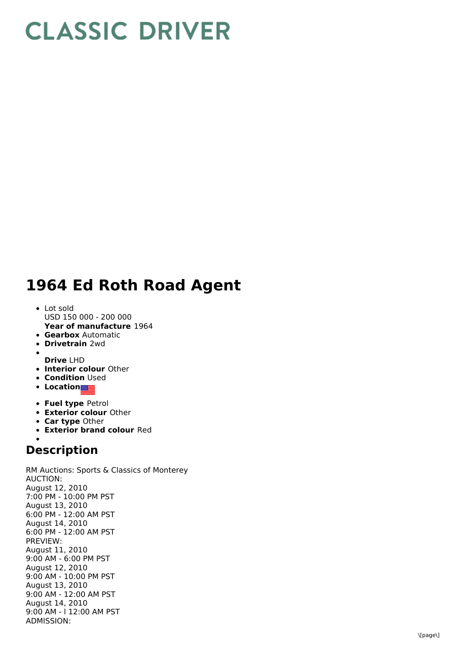## **CLASSIC DRIVER**

## 1964 Ed Roth Road Agent

- **Year of manufacture** 1964 L o t s old USD 150 000 - 200 000
- **Gearbox** Automatic
- **Drivetrain** 2wd
- 
- **D r i v e** L H D
- **Interior colour** Other **Condition** Used
- **Location**
- 
- **Fuel type Petrol**
- **Exterior colour Other**
- **Car type Other**
- **Exterior brand colour Red**

## **Description**

RM Auctions: Sports & Classics of Monterey A U C TIO N: August 12, 2 0 1 0 7:00 PM - 10:00 PM PST August 13, 2010 6:00 PM - 12:00 AM PST August 14, 2010 6:00 PM - 12:00 AM PST P R E VIE W: August 11, 2 0 1 0 9:00 AM - 6:00 PM PST August 12, 2010 9:00 AM - 10:00 PM PST August 13, 2010 9:00 AM - 12:00 AM PST August 14, 2010 9:00 AM - I 12:00 AM PST A D MIS SIO N: